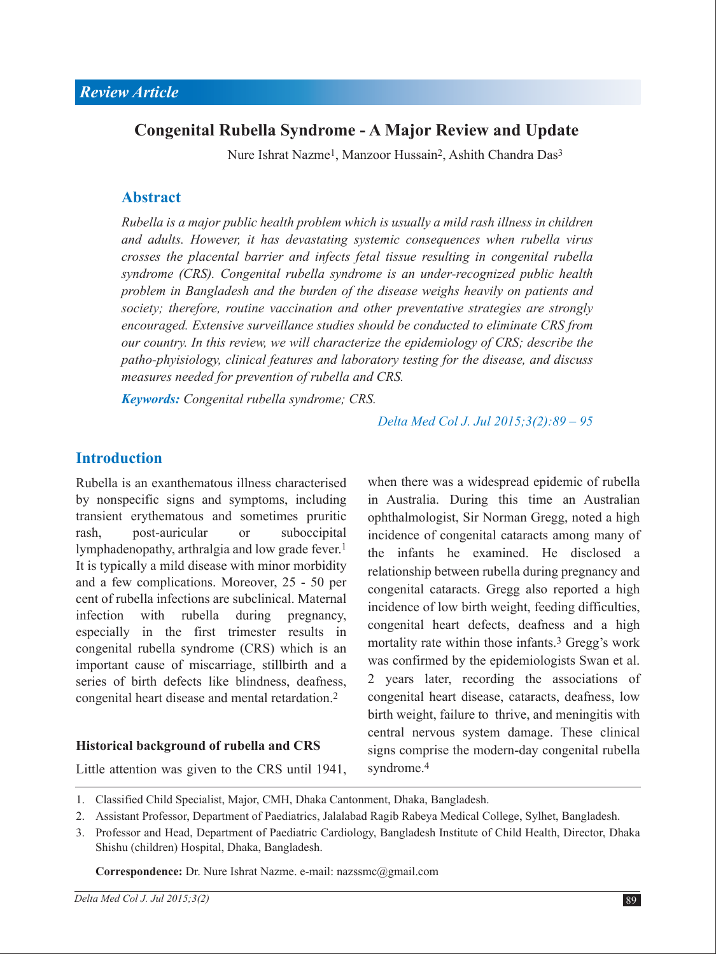# **Congenital Rubella Syndrome - A Major Review and Update**

Nure Ishrat Nazme1, Manzoor Hussain2, Ashith Chandra Das3

## **Abstract**

*Rubella is a major public health problem which is usually a mild rash illness in children and adults. However, it has devastating systemic consequences when rubella virus crosses the placental barrier and infects fetal tissue resulting in congenital rubella syndrome (CRS). Congenital rubella syndrome is an under-recognized public health problem in Bangladesh and the burden of the disease weighs heavily on patients and society; therefore, routine vaccination and other preventative strategies are strongly encouraged. Extensive surveillance studies should be conducted to eliminate CRS from our country. In this review, we will characterize the epidemiology of CRS; describe the patho-phyisiology, clinical features and laboratory testing for the disease, and discuss measures needed for prevention of rubella and CRS.*

*Keywords: Congenital rubella syndrome; CRS.*

*Delta Med Col J. Jul 2015;3(2):89 – 95*

#### **Introduction**

Rubella is an exanthematous illness characterised by nonspecific signs and symptoms, including transient erythematous and sometimes pruritic rash, post-auricular or suboccipital lymphadenopathy, arthralgia and low grade fever.<sup>1</sup> It is typically a mild disease with minor morbidity and a few complications. Moreover, 25 - 50 per cent of rubella infections are subclinical. Maternal infection with rubella during pregnancy, especially in the first trimester results in congenital rubella syndrome (CRS) which is an important cause of miscarriage, stillbirth and a series of birth defects like blindness, deafness, congenital heart disease and mental retardation.2

#### **Historical background of rubella and CRS**

Little attention was given to the CRS until 1941,

when there was a widespread epidemic of rubella in Australia. During this time an Australian ophthalmologist, Sir Norman Gregg, noted a high incidence of congenital cataracts among many of the infants he examined. He disclosed a relationship between rubella during pregnancy and congenital cataracts. Gregg also reported a high incidence of low birth weight, feeding difficulties, congenital heart defects, deafness and a high mortality rate within those infants.<sup>3</sup> Gregg's work was confirmed by the epidemiologists Swan et al. 2 years later, recording the associations of congenital heart disease, cataracts, deafness, low birth weight, failure to thrive, and meningitis with central nervous system damage. These clinical signs comprise the modern-day congenital rubella syndrome.<sup>4</sup>

- Classified Child Specialist, Major, CMH, Dhaka Cantonment, Dhaka, Bangladesh. 1.
- 2. Assistant Professor, Department of Paediatrics, Jalalabad Ragib Rabeya Medical College, Sylhet, Bangladesh.
- 3. Professor and Head, Department of Paediatric Cardiology, Bangladesh Institute of Child Health, Director, Dhaka Shishu (children) Hospital, Dhaka, Bangladesh.

**Correspondence:** Dr. Nure Ishrat Nazme. e-mail: nazssmc@gmail.com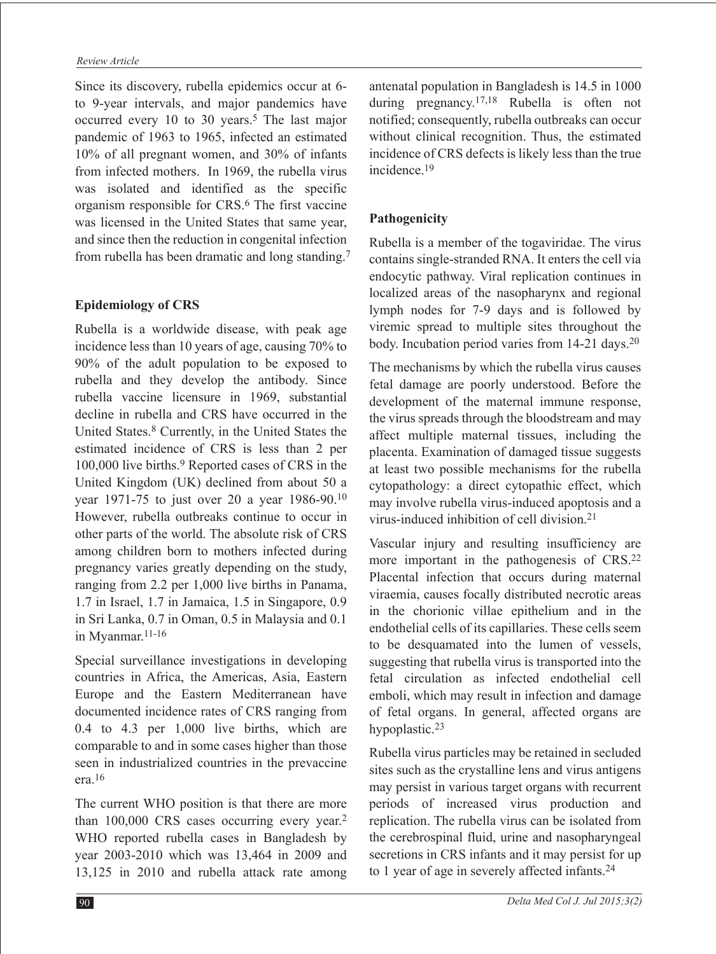#### *Review Article*

Since its discovery, rubella epidemics occur at 6 to 9-year intervals, and major pandemics have occurred every 10 to 30 years.<sup>5</sup> The last major pandemic of 1963 to 1965, infected an estimated 10% of all pregnant women, and 30% of infants from infected mothers. In 1969, the rubella virus was isolated and identified as the specific organism responsible for CRS.6 The first vaccine was licensed in the United States that same year, and since then the reduction in congenital infection from rubella has been dramatic and long standing.7

#### **Epidemiology of CRS**

Rubella is a worldwide disease, with peak age incidence less than 10 years of age, causing 70% to 90% of the adult population to be exposed to rubella and they develop the antibody. Since rubella vaccine licensure in 1969, substantial decline in rubella and CRS have occurred in the United States.8 Currently, in the United States the estimated incidence of CRS is less than 2 per 100,000 live births.<sup>9</sup> Reported cases of CRS in the United Kingdom (UK) declined from about 50 a year 1971-75 to just over 20 a year 1986-90.10 However, rubella outbreaks continue to occur in other parts of the world. The absolute risk of CRS among children born to mothers infected during pregnancy varies greatly depending on the study, ranging from 2.2 per 1,000 live births in Panama, 1.7 in Israel, 1.7 in Jamaica, 1.5 in Singapore, 0.9 in Sri Lanka, 0.7 in Oman, 0.5 in Malaysia and 0.1 in Myanmar.<sup>11-16</sup>

Special surveillance investigations in developing countries in Africa, the Americas, Asia, Eastern Europe and the Eastern Mediterranean have documented incidence rates of CRS ranging from 0.4 to 4.3 per 1,000 live births, which are comparable to and in some cases higher than those seen in industrialized countries in the prevaccine era.16

The current WHO position is that there are more than 100,000 CRS cases occurring every year.2 WHO reported rubella cases in Bangladesh by year 2003-2010 which was 13,464 in 2009 and 13,125 in 2010 and rubella attack rate among antenatal population in Bangladesh is 14.5 in 1000 during pregnancy.<sup>17,18</sup> Rubella is often not notified; consequently, rubella outbreaks can occur without clinical recognition. Thus, the estimated incidence of CRS defects is likely less than the true incidence.19

#### **Pathogenicity**

Rubella is a member of the togaviridae. The virus contains single-stranded RNA. It enters the cell via endocytic pathway. Viral replication continues in localized areas of the nasopharynx and regional lymph nodes for 7-9 days and is followed by viremic spread to multiple sites throughout the body. Incubation period varies from 14-21 days.<sup>20</sup>

The mechanisms by which the rubella virus causes fetal damage are poorly understood. Before the development of the maternal immune response, the virus spreads through the bloodstream and may affect multiple maternal tissues, including the placenta. Examination of damaged tissue suggests at least two possible mechanisms for the rubella cytopathology: a direct cytopathic effect, which may involve rubella virus-induced apoptosis and a virus-induced inhibition of cell division.21

Vascular injury and resulting insufficiency are more important in the pathogenesis of CRS.22 Placental infection that occurs during maternal viraemia, causes focally distributed necrotic areas in the chorionic villae epithelium and in the endothelial cells of its capillaries. These cells seem to be desquamated into the lumen of vessels, suggesting that rubella virus is transported into the fetal circulation as infected endothelial cell emboli, which may result in infection and damage of fetal organs. In general, affected organs are hypoplastic.23

Rubella virus particles may be retained in secluded sites such as the crystalline lens and virus antigens may persist in various target organs with recurrent periods of increased virus production and replication. The rubella virus can be isolated from the cerebrospinal fluid, urine and nasopharyngeal secretions in CRS infants and it may persist for up to 1 year of age in severely affected infants.<sup>24</sup>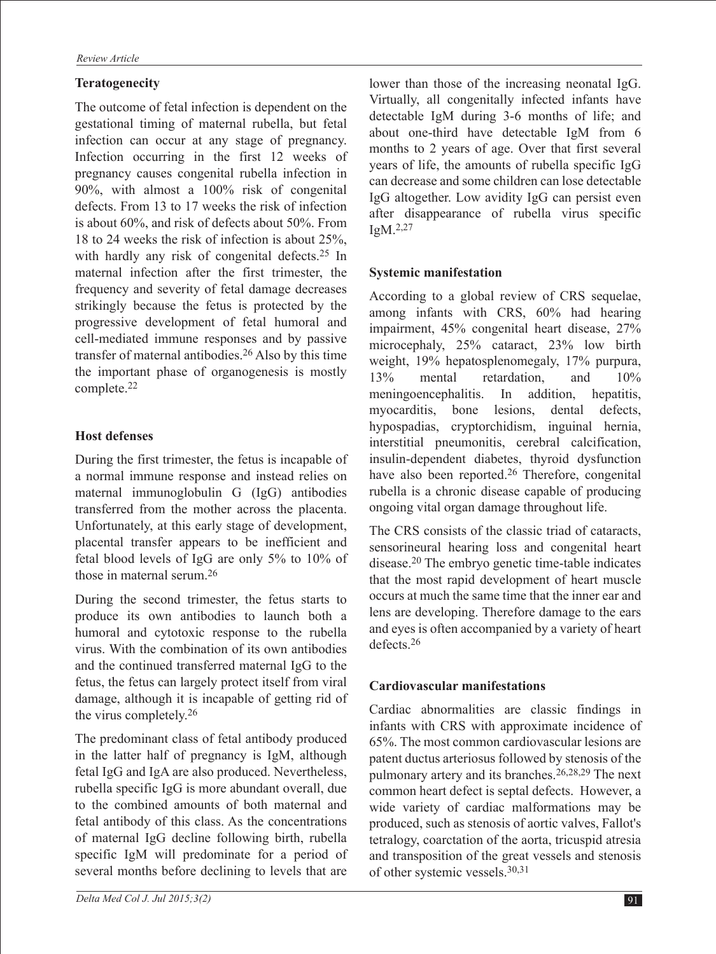#### **Teratogenecity**

The outcome of fetal infection is dependent on the gestational timing of maternal rubella, but fetal infection can occur at any stage of pregnancy. Infection occurring in the first 12 weeks of pregnancy causes congenital rubella infection in 90%, with almost a 100% risk of congenital defects. From 13 to 17 weeks the risk of infection is about 60%, and risk of defects about 50%. From 18 to 24 weeks the risk of infection is about 25%, with hardly any risk of congenital defects.<sup>25</sup> In maternal infection after the first trimester, the frequency and severity of fetal damage decreases strikingly because the fetus is protected by the progressive development of fetal humoral and cell-mediated immune responses and by passive transfer of maternal antibodies.26 Also by this time the important phase of organogenesis is mostly complete.22

## **Host defenses**

During the first trimester, the fetus is incapable of a normal immune response and instead relies on maternal immunoglobulin G (IgG) antibodies transferred from the mother across the placenta. Unfortunately, at this early stage of development, placental transfer appears to be inefficient and fetal blood levels of IgG are only 5% to 10% of those in maternal serum.26

During the second trimester, the fetus starts to produce its own antibodies to launch both a humoral and cytotoxic response to the rubella virus. With the combination of its own antibodies and the continued transferred maternal IgG to the fetus, the fetus can largely protect itself from viral damage, although it is incapable of getting rid of the virus completely.26

The predominant class of fetal antibody produced in the latter half of pregnancy is IgM, although fetal IgG and IgA are also produced. Nevertheless, rubella specific IgG is more abundant overall, due to the combined amounts of both maternal and fetal antibody of this class. As the concentrations of maternal IgG decline following birth, rubella specific IgM will predominate for a period of several months before declining to levels that are

lower than those of the increasing neonatal IgG. Virtually, all congenitally infected infants have detectable IgM during 3-6 months of life; and about one-third have detectable IgM from 6 months to 2 years of age. Over that first several years of life, the amounts of rubella specific IgG can decrease and some children can lose detectable IgG altogether. Low avidity IgG can persist even after disappearance of rubella virus specific  $IgM.<sup>2,27</sup>$ 

#### **Systemic manifestation**

According to a global review of CRS sequelae, among infants with CRS, 60% had hearing impairment, 45% congenital heart disease, 27% microcephaly, 25% cataract, 23% low birth weight, 19% hepatosplenomegaly, 17% purpura, 13% mental retardation, and 10% meningoencephalitis. In addition, hepatitis, myocarditis, bone lesions, dental defects, hypospadias, cryptorchidism, inguinal hernia, interstitial pneumonitis, cerebral calcification, insulin-dependent diabetes, thyroid dysfunction have also been reported.26 Therefore, congenital rubella is a chronic disease capable of producing ongoing vital organ damage throughout life.

The CRS consists of the classic triad of cataracts, sensorineural hearing loss and congenital heart disease.20 The embryo genetic time-table indicates that the most rapid development of heart muscle occurs at much the same time that the inner ear and lens are developing. Therefore damage to the ears and eyes is often accompanied by a variety of heart defects.26

#### **Cardiovascular manifestations**

Cardiac abnormalities are classic findings in infants with CRS with approximate incidence of 65%. The most common cardiovascular lesions are patent ductus arteriosus followed by stenosis of the pulmonary artery and its branches.26,28,29 The next common heart defect is septal defects. However, a wide variety of cardiac malformations may be produced, such as stenosis of aortic valves, Fallot's tetralogy, coarctation of the aorta, tricuspid atresia and transposition of the great vessels and stenosis of other systemic vessels.30,31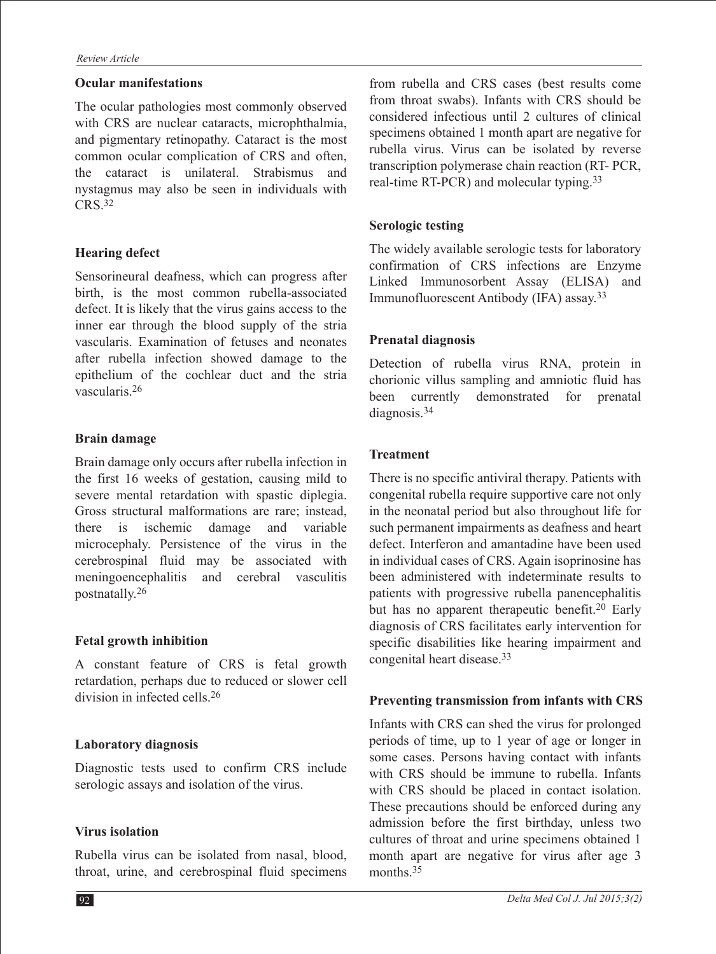#### **Ocular manifestations**

The ocular pathologies most commonly observed with CRS are nuclear cataracts, microphthalmia, and pigmentary retinopathy. Cataract is the most common ocular complication of CRS and often, the cataract is unilateral. Strabismus and nystagmus may also be seen in individuals with CRS.32

## **Hearing defect**

Sensorineural deafness, which can progress after birth, is the most common rubella-associated defect. It is likely that the virus gains access to the inner ear through the blood supply of the stria vascularis. Examination of fetuses and neonates after rubella infection showed damage to the epithelium of the cochlear duct and the stria vascularis.26

#### **Brain damage**

Brain damage only occurs after rubella infection in the first 16 weeks of gestation, causing mild to severe mental retardation with spastic diplegia. Gross structural malformations are rare; instead, there is ischemic damage and variable microcephaly. Persistence of the virus in the cerebrospinal fluid may be associated with meningoencephalitis and cerebral vasculitis postnatally.26

#### **Fetal growth inhibition**

A constant feature of CRS is fetal growth retardation, perhaps due to reduced or slower cell division in infected cells.26

#### **Laboratory diagnosis**

Diagnostic tests used to confirm CRS include serologic assays and isolation of the virus.

#### **Virus isolation**

Rubella virus can be isolated from nasal, blood, throat, urine, and cerebrospinal fluid specimens from rubella and CRS cases (best results come from throat swabs). Infants with CRS should be considered infectious until 2 cultures of clinical specimens obtained 1 month apart are negative for rubella virus. Virus can be isolated by reverse transcription polymerase chain reaction (RT- PCR, real-time RT-PCR) and molecular typing.33

## **Serologic testing**

The widely available serologic tests for laboratory confirmation of CRS infections are Enzyme Linked Immunosorbent Assay (ELISA) and Immunofluorescent Antibody (IFA) assay.33

## **Prenatal diagnosis**

Detection of rubella virus RNA, protein in chorionic villus sampling and amniotic fluid has been currently demonstrated for prenatal diagnosis.34

#### **Treatment**

There is no specific antiviral therapy. Patients with congenital rubella require supportive care not only in the neonatal period but also throughout life for such permanent impairments as deafness and heart defect. Interferon and amantadine have been used in individual cases of CRS. Again isoprinosine has been administered with indeterminate results to patients with progressive rubella panencephalitis but has no apparent therapeutic benefit.<sup>20</sup> Early diagnosis of CRS facilitates early intervention for specific disabilities like hearing impairment and congenital heart disease.33

#### **Preventing transmission from infants with CRS**

Infants with CRS can shed the virus for prolonged periods of time, up to 1 year of age or longer in some cases. Persons having contact with infants with CRS should be immune to rubella. Infants with CRS should be placed in contact isolation. These precautions should be enforced during any admission before the first birthday, unless two cultures of throat and urine specimens obtained 1 month apart are negative for virus after age 3 months.<sup>35</sup>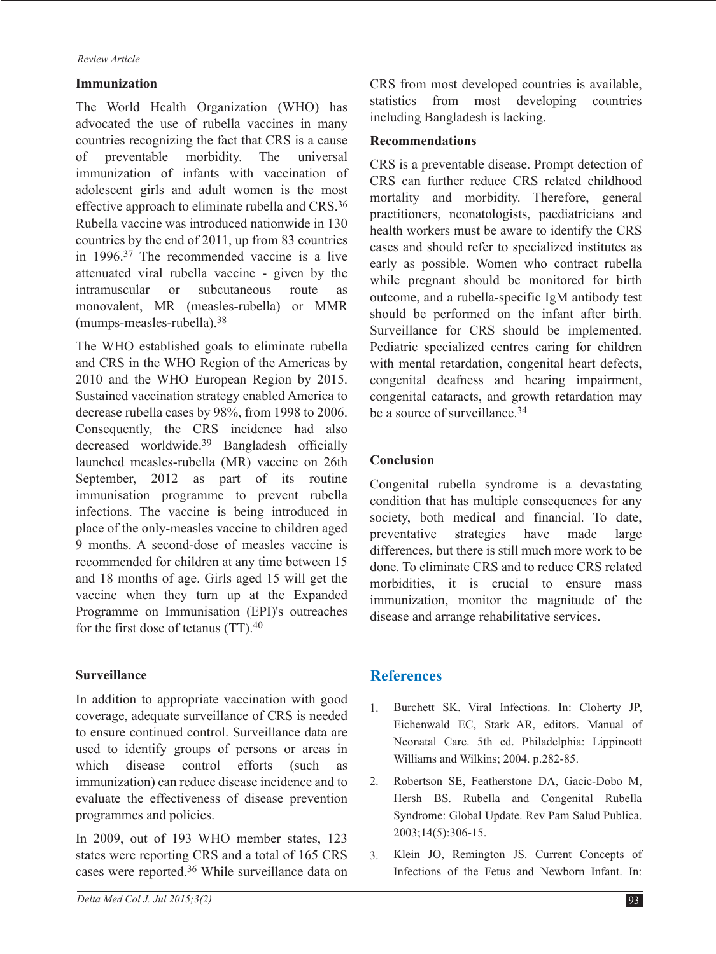#### **Immunization**

The World Health Organization (WHO) has advocated the use of rubella vaccines in many countries recognizing the fact that CRS is a cause of preventable morbidity. The universal immunization of infants with vaccination of adolescent girls and adult women is the most effective approach to eliminate rubella and CRS.36 Rubella vaccine was introduced nationwide in 130 countries by the end of 2011, up from 83 countries in 1996.37 The recommended vaccine is a live attenuated viral rubella vaccine - given by the intramuscular or subcutaneous route as monovalent, MR (measles-rubella) or MMR (mumps-measles-rubella).38

The WHO established goals to eliminate rubella and CRS in the WHO Region of the Americas by 2010 and the WHO European Region by 2015. Sustained vaccination strategy enabled America to decrease rubella cases by 98%, from 1998 to 2006. Consequently, the CRS incidence had also decreased worldwide.39 Bangladesh officially launched measles-rubella (MR) vaccine on 26th September, 2012 as part of its routine immunisation programme to prevent rubella infections. The vaccine is being introduced in place of the only-measles vaccine to children aged 9 months. A second-dose of measles vaccine is recommended for children at any time between 15 and 18 months of age. Girls aged 15 will get the vaccine when they turn up at the Expanded Programme on Immunisation (EPI)'s outreaches for the first dose of tetanus (TT).40

# **Surveillance**

In addition to appropriate vaccination with good coverage, adequate surveillance of CRS is needed to ensure continued control. Surveillance data are used to identify groups of persons or areas in which disease control efforts (such as immunization) can reduce disease incidence and to evaluate the effectiveness of disease prevention programmes and policies.

In 2009, out of 193 WHO member states, 123 states were reporting CRS and a total of 165 CRS cases were reported.36 While surveillance data on CRS from most developed countries is available, statistics from most developing countries including Bangladesh is lacking.

#### **Recommendations**

CRS is a preventable disease. Prompt detection of CRS can further reduce CRS related childhood mortality and morbidity. Therefore, general practitioners, neonatologists, paediatricians and health workers must be aware to identify the CRS cases and should refer to specialized institutes as early as possible. Women who contract rubella while pregnant should be monitored for birth outcome, and a rubella-specific IgM antibody test should be performed on the infant after birth. Surveillance for CRS should be implemented. Pediatric specialized centres caring for children with mental retardation, congenital heart defects, congenital deafness and hearing impairment, congenital cataracts, and growth retardation may be a source of surveillance.34

# **Conclusion**

Congenital rubella syndrome is a devastating condition that has multiple consequences for any society, both medical and financial. To date, preventative strategies have made large differences, but there is still much more work to be done. To eliminate CRS and to reduce CRS related morbidities, it is crucial to ensure mass immunization, monitor the magnitude of the disease and arrange rehabilitative services.

# **References**

- 1. Burchett SK. Viral Infections. In: Cloherty JP, Eichenwald EC, Stark AR, editors. Manual of Neonatal Care. 5th ed. Philadelphia: Lippincott Williams and Wilkins; 2004. p.282-85.
- Robertson SE, Featherstone DA, Gacic-Dobo M, 2. Hersh BS. Rubella and Congenital Rubella Syndrome: Global Update. Rev Pam Salud Publica. 2003;14(5):306-15.
- Klein JO, Remington JS. Current Concepts of Infections of the Fetus and Newborn Infant. In: 3.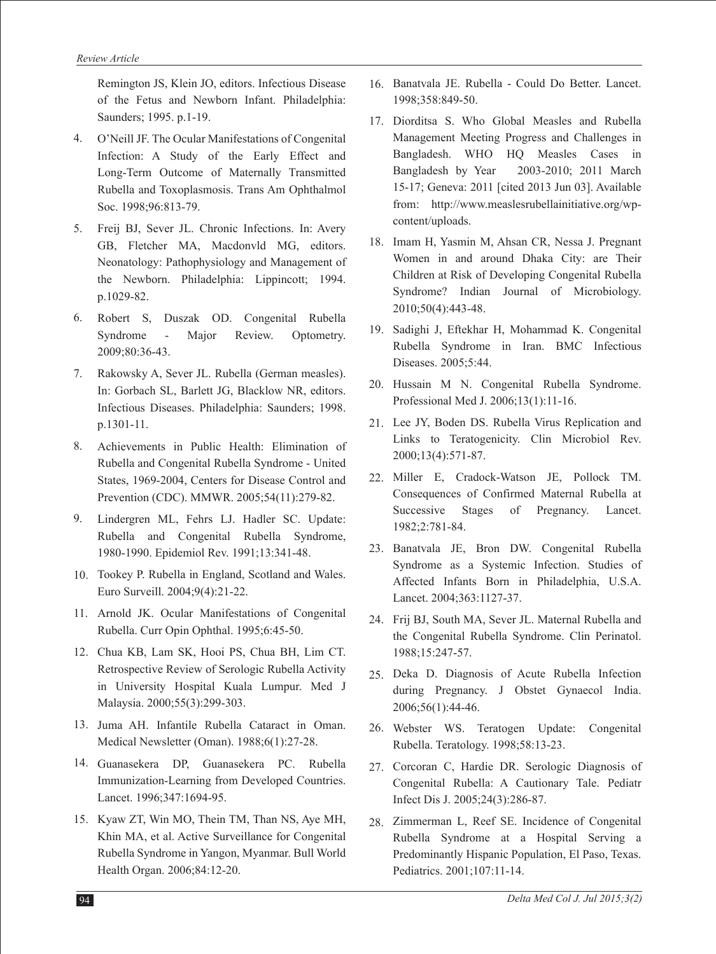Remington JS, Klein JO, editors. Infectious Disease of the Fetus and Newborn Infant. Philadelphia: Saunders; 1995. p.1-19.

- O'Neill JF. The Ocular Manifestations of Congenital 4. Infection: A Study of the Early Effect and Long-Term Outcome of Maternally Transmitted Rubella and Toxoplasmosis. Trans Am Ophthalmol Soc. 1998;96:813-79.
- Freij BJ, Sever JL. Chronic Infections. In: Avery 5. GB, Fletcher MA, Macdonvld MG, editors. Neonatology: Pathophysiology and Management of the Newborn. Philadelphia: Lippincott; 1994. p.1029-82.
- Robert S, Duszak OD. Congenital Rubella Syndrome - Major Review. Optometry. 2009;80:36-43. 6.
- Rakowsky A, Sever JL. Rubella (German measles). 7. In: Gorbach SL, Barlett JG, Blacklow NR, editors. Infectious Diseases. Philadelphia: Saunders; 1998. p.1301-11.
- Achievements in Public Health: Elimination of Rubella and Congenital Rubella Syndrome - United States, 1969-2004, Centers for Disease Control and Prevention (CDC). MMWR. 2005;54(11):279-82. 8.
- Lindergren ML, Fehrs LJ. Hadler SC. Update: Rubella and Congenital Rubella Syndrome, 1980-1990. Epidemiol Rev. 1991;13:341-48. 9.
- 10. Tookey P. Rubella in England, Scotland and Wales. Euro Surveill. 2004;9(4):21-22.
- 11. Arnold JK. Ocular Manifestations of Congenital Rubella. Curr Opin Ophthal. 1995;6:45-50.
- 12. Chua KB, Lam SK, Hooi PS, Chua BH, Lim CT. Retrospective Review of Serologic Rubella Activity in University Hospital Kuala Lumpur. Med J Malaysia. 2000;55(3):299-303.
- 13. Juma AH. Infantile Rubella Cataract in Oman. Medical Newsletter (Oman). 1988;6(1):27-28.
- Guanasekera DP, Guanasekera PC. Rubella 14. Immunization-Learning from Developed Countries. Lancet. 1996;347:1694-95.
- 15. Kyaw ZT, Win MO, Thein TM, Than NS, Aye MH, Khin MA, et al. Active Surveillance for Congenital Rubella Syndrome in Yangon, Myanmar. Bull World Health Organ. 2006;84:12-20.
- 16. Banatvala JE. Rubella Could Do Better. Lancet. 1998;358:849-50.
- 17. Diorditsa S. Who Global Measles and Rubella Management Meeting Progress and Challenges in Bangladesh. WHO HQ Measles Cases in Bangladesh by Year 2003-2010; 2011 March 15-17; Geneva: 2011 [cited 2013 Jun 03]. Available from: http://www.measlesrubellainitiative.org/wpcontent/uploads.
- 18. Imam H, Yasmin M, Ahsan CR, Nessa J. Pregnant Women in and around Dhaka City: are Their Children at Risk of Developing Congenital Rubella Syndrome? Indian Journal of Microbiology. 2010;50(4):443-48.
- 19. Sadighi J, Eftekhar H, Mohammad K. Congenital Rubella Syndrome in Iran. BMC Infectious Diseases. 2005;5:44.
- 20. Hussain M N. Congenital Rubella Syndrome. Professional Med J. 2006;13(1):11-16.
- 21. Lee JY, Boden DS. Rubella Virus Replication and Links to Teratogenicity. Clin Microbiol Rev. 2000;13(4):571-87.
- 22. Miller E, Cradock-Watson JE, Pollock TM. Consequences of Confirmed Maternal Rubella at Successive Stages of Pregnancy. Lancet. 1982;2:781-84.
- Banatvala JE, Bron DW. Congenital Rubella 23. Syndrome as a Systemic Infection. Studies of Affected Infants Born in Philadelphia, U.S.A. Lancet. 2004;363:1127-37.
- 24. Frij BJ, South MA, Sever JL. Maternal Rubella and the Congenital Rubella Syndrome. Clin Perinatol. 1988;15:247-57.
- 25. Deka D. Diagnosis of Acute Rubella Infection during Pregnancy. J Obstet Gynaecol India. 2006;56(1):44-46.
- Webster WS. Teratogen Update: Congenital 26. Rubella. Teratology. 1998;58:13-23.
- 27. Corcoran C, Hardie DR. Serologic Diagnosis of Congenital Rubella: A Cautionary Tale. Pediatr Infect Dis J. 2005;24(3):286-87.
- 28. Zimmerman L, Reef SE. Incidence of Congenital Rubella Syndrome at a Hospital Serving a Predominantly Hispanic Population, El Paso, Texas. Pediatrics. 2001;107:11-14.